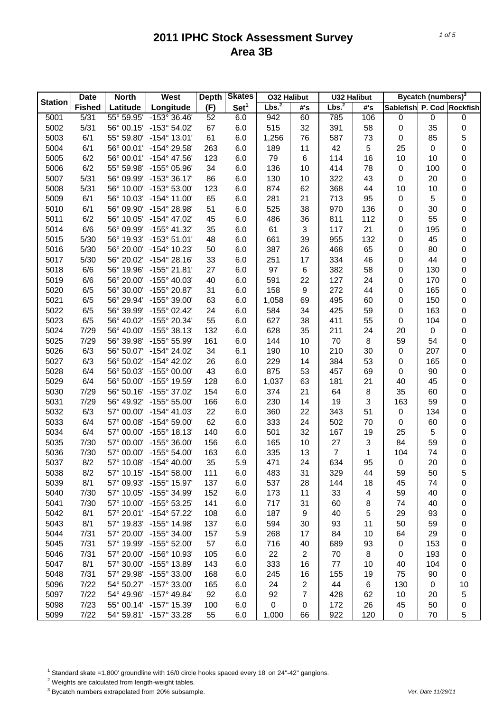|                | <b>Date</b>   | <b>North</b>        | West                    | <b>Depth</b> | <b>Skates</b>    | <b>O32 Halibut</b> |                  | <b>U32 Halibut</b> |     |                           | Bycatch (numbers) <sup>3</sup> |    |
|----------------|---------------|---------------------|-------------------------|--------------|------------------|--------------------|------------------|--------------------|-----|---------------------------|--------------------------------|----|
| <b>Station</b> | <b>Fished</b> | Latitude            | Longitude               | (F)          | Set <sup>1</sup> | Lbs. <sup>2</sup>  | #'s              | Lbs. <sup>2</sup>  | #'s | Sablefish P. Cod Rockfish |                                |    |
| 5001           | 5/31          | 55° 59.95'          | -153° 36.46'            | 52           | 6.0              | 942                | 60               | 785                | 106 | 0                         | 0                              | 0  |
| 5002           | 5/31          | 56° 00.15'          | -153° 54.02'            | 67           | 6.0              | 515                | 32               | 391                | 58  | 0                         | 35                             | 0  |
| 5003           | 6/1           | 55° 59.80'          | $-154^{\circ}$ 13.01'   | 61           | 6.0              | 1,256              | 76               | 587                | 73  | 0                         | 85                             | 5  |
| 5004           | 6/1           | 56° 00.01'          | -154° 29.58'            | 263          | 6.0              | 189                | 11               | 42                 | 5   | 25                        | 0                              | 0  |
| 5005           | 6/2           | 56° 00.01'          | $-154^{\circ}$ 47.56'   | 123          | 6.0              | 79                 | 6                | 114                | 16  | 10                        | 10                             | 0  |
| 5006           | 6/2           | 55° 59.98'          | -155° 05.96'            | 34           | 6.0              | 136                | 10               | 414                | 78  | 0                         | 100                            | 0  |
| 5007           | 5/31          | 56° 09.99'          | $-153^{\circ}36.17'$    | 86           | 6.0              | 130                | 10               | 322                | 43  | 0                         | 20                             | 0  |
| 5008           | 5/31          | 56° 10.00'          | -153° 53.00'            | 123          | 6.0              | 874                | 62               | 368                | 44  | 10                        | 10                             | 0  |
| 5009           | 6/1           | 56° 10.03'          | $-154^{\circ}$ 11.00'   | 65           | 6.0              | 281                | 21               | 713                | 95  | 0                         | 5                              | 0  |
| 5010           | 6/1           | 56° 09.90'          | -154° 28.98'            | 51           | 6.0              | 525                | 38               | 970                | 136 | 0                         | 30                             | 0  |
| 5011           | 6/2           | 56° 10.05'          | $-154^{\circ}$ 47.02'   | 45           | 6.0              | 486                | 36               | 811                | 112 | 0                         | 55                             | 0  |
| 5014           | 6/6           | 56° 09.99'          | $-155^{\circ}$ 41.32'   | 35           | 6.0              | 61                 | 3                | 117                | 21  | 0                         | 195                            | 0  |
| 5015           | 5/30          | 56° 19.93'          | $-153^{\circ} 51.01'$   | 48           | 6.0              | 661                | 39               | 955                | 132 | 0                         | 45                             | 0  |
| 5016           | 5/30          | 56° 20.00'          | -154° 10.23'            | 50           | 6.0              | 387                | 26               | 468                | 65  | 0                         | 80                             | 0  |
| 5017           | 5/30          | 56° 20.02'          | $-154^{\circ} 28.16'$   | 33           | 6.0              | 251                | 17               | 334                | 46  | 0                         | 44                             | 0  |
| 5018           | 6/6           | 56° 19.96'          | $-155^{\circ}$ 21.81'   | 27           | 6.0              | 97                 | 6                | 382                | 58  | 0                         | 130                            | 0  |
| 5019           | 6/6           | 56° 20.00'          | $-155^{\circ}$ 40.03'   | 40           | 6.0              | 591                | 22               | 127                | 24  | 0                         | 170                            | 0  |
| 5020           | 6/5           | 56° 30.00'          | $-155^{\circ}$ 20.87'   | 31           | 6.0              | 158                | $\boldsymbol{9}$ | 272                | 44  | 0                         | 165                            | 0  |
| 5021           | 6/5           | 56° 29.94'          | -155° 39.00'            | 63           | 6.0              | 1,058              | 69               | 495                | 60  | 0                         | 150                            | 0  |
| 5022           | 6/5           | 56° 39.99'          | $-155^{\circ}$ 02.42'   | 24           | 6.0              | 584                | 34               | 425                | 59  | 0                         | 163                            | 0  |
| 5023           | 6/5           | 56° 40.02'          | -155° 20.34'            | 55           | 6.0              | 627                | 38               | 411                | 55  | 0                         | 104                            | 0  |
| 5024           | 7/29          | 56° 40.00'          | $-155^{\circ}$ 38.13'   | 132          | 6.0              | 628                | 35               | 211                | 24  | 20                        | 0                              | 0  |
| 5025           | 7/29          | 56° 39.98'          | -155° 55.99'            | 161          | 6.0              | 144                | 10               | 70                 | 8   | 59                        | 54                             | 0  |
| 5026           | 6/3           | 56° 50.07'          | -154° 24.02'            | 34           | 6.1              | 190                | 10               | 210                | 30  | $\pmb{0}$                 | 207                            | 0  |
| 5027           | 6/3           | 56° 50.02'          | $-154^{\circ}$ 42.02'   | 26           | 6.0              | 229                | 14               | 384                | 53  | 0                         | 165                            | 0  |
| 5028           | 6/4           | 56° 50.03'          | $-155^{\circ}$ 00.00'   | 43           | 6.0              | 875                | 53               | 457                | 69  | $\pmb{0}$                 | 90                             | 0  |
| 5029           | 6/4           | 56° 50.00'          | -155° 19.59'            | 128          | 6.0              | 1,037              | 63               | 181                | 21  | 40                        | 45                             | 0  |
| 5030           | 7/29          | 56° 50.16'          | -155° 37.02'            | 154          | 6.0              | 374                | 21               | 64                 | 8   | 35                        | 60                             | 0  |
| 5031           | 7/29          | 56° 49.92'          | $-155^{\circ} 55.00'$   | 166          | 6.0              | 230                | 14               | 19                 | 3   | 163                       | 59                             | 0  |
| 5032           | 6/3           | 57° 00.00'          | $-154^{\circ}$ 41.03'   | 22           | 6.0              | 360                | 22               | 343                | 51  | $\pmb{0}$                 | 134                            | 0  |
| 5033           | 6/4           | 57° 00.08'          | $-154^{\circ} 59.00'$   | 62           | 6.0              | 333                | 24               | 502                | 70  | 0                         | 60                             | 0  |
| 5034           | 6/4           | 57° 00.00'          | $-155^{\circ}$ 18.13'   | 140          | 6.0              | 501                | 32               | 167                | 19  | 25                        | 5                              | 0  |
| 5035           | 7/30          | 57° 00.00'          | -155° 36.00'            | 156          | 6.0              | 165                | 10               | 27                 | 3   | 84                        | 59                             | 0  |
| 5036           | 7/30          | 57° 00.00'          | $-155^{\circ} 54.00'$   | 163          | 6.0              | 335                | 13               | $\overline{7}$     | 1   | 104                       | 74                             | 0  |
| 5037           | 8/2           | 57° 10.08'          | $-154^{\circ}$ 40.00'   | 35           | 5.9              | 471                | 24               | 634                | 95  | $\mathbf 0$               | 20                             | 0  |
| 5038           | 8/2           | $57^{\circ}$ 10.15' | -154° 58.00'            | 111          | 6.0              | 483                | 31               | 329                | 44  | 59                        | 50                             | 5  |
| 5039           | 8/1           | 57° 09.93'          | $-155^{\circ}$ 15.97'   | 137          | 6.0              | 537                | 28               | 144                | 18  | 45                        | 74                             | 0  |
| 5040           | 7/30          | 57° 10.05'          | -155° 34.99'            | 152          | 6.0              | 173                | 11               | 33                 | 4   | 59                        | 40                             | 0  |
| 5041           | 7/30          | 57° 10.00'          | $-155^{\circ}$ 53.25'   | 141          | 6.0              | 717                | 31               | 60                 | 8   | 74                        | 40                             | 0  |
| 5042           | 8/1           | 57° 20.01'          | $-154^{\circ}$ 57.22'   | 108          | 6.0              | 187                | 9                | 40                 | 5   | 29                        | 93                             | 0  |
| 5043           | 8/1           | 57° 19.83'          | -155° 14.98'            | 137          | 6.0              | 594                | 30               | 93                 | 11  | 50                        | 59                             | 0  |
| 5044           | 7/31          | 57° 20.00'          | $-155^{\circ}$ 34.00'   | 157          | 5.9              | 268                | 17               | 84                 | 10  | 64                        | 29                             | 0  |
| 5045           | 7/31          | 57° 19.99'          | $-155^{\circ}$ 52.00'   | 57           | 6.0              | 716                | 40               | 689                | 93  | 0                         | 153                            | 0  |
| 5046           | 7/31          | 57° 20.00'          | -156° 10.93'            | 105          | 6.0              | 22                 | $\overline{2}$   | 70                 | 8   | 0                         | 193                            | 0  |
| 5047           | 8/1           | 57° 30.00'          | -155° 13.89'            | 143          | 6.0              | 333                | 16               | 77                 | 10  | 40                        | 104                            | 0  |
| 5048           | 7/31          | 57° 29.98'          | $-155^{\circ}$ 33.00'   | 168          | 6.0              | 245                | 16               | 155                | 19  | 75                        | 90                             | 0  |
| 5096           | 7/22          | 54° 50.27'          | -157° 33.00'            | 165          | 6.0              | 24                 | $\overline{2}$   | 44                 | 6   | 130                       | 0                              | 10 |
| 5097           | 7/22          | 54° 49.96'          | $-157^{\circ}$ 49.84'   | 92           | 6.0              | 92                 | $\overline{7}$   | 428                | 62  | 10                        | 20                             | 5  |
| 5098           | 7/23          | 55° 00.14'          | -157° 15.39'            | 100          | 6.0              | 0                  | 0                | 172                | 26  | 45                        | 50                             | 0  |
| 5099           | 7/22          |                     | 54° 59.81' -157° 33.28' | 55           | 6.0              | 1,000              | 66               | 922                | 120 | $\pmb{0}$                 | 70                             | 5  |

<sup>1</sup> Standard skate =1,800' groundline with 16/0 circle hooks spaced every 18' on 24"-42" gangions.

2 Weights are calculated from length-weight tables.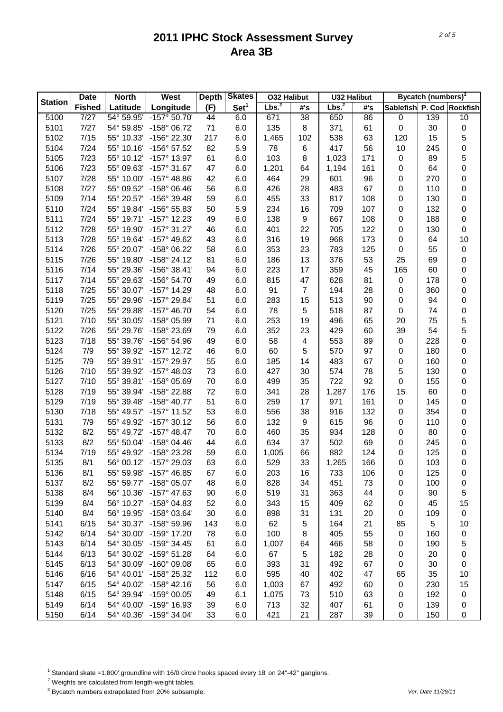| Lbs. <sup>2</sup><br>Set <sup>1</sup><br><b>Fished</b><br>Longitude<br>(F)<br>Latitude<br>Sablefish P. Cod Rockfish<br>#'s<br>#'s<br>5100<br>7/27<br>54° 59.95'<br>$-157°$ 50.70<br>44<br>6.0<br>38<br>139<br>10<br>671<br>650<br>86<br>$\pmb{0}$<br>5101<br>7/27<br>8<br>371<br>$\pmb{0}$<br>$\pmb{0}$<br>54° 59.85'<br>-158° 06.72'<br>71<br>6.0<br>135<br>61<br>30<br>5<br>5102<br>7/15<br>217<br>538<br>55° 10.33'<br>-156° 22.30'<br>6.0<br>1,465<br>102<br>63<br>120<br>15<br>5104<br>7/24<br>82<br>417<br>56<br>0<br>55° 10.16'<br>-156° 57.52'<br>5.9<br>78<br>6<br>10<br>245<br>5<br>5105<br>7/23<br>61<br>103<br>8<br>1,023<br>171<br>$\pmb{0}$<br>55° 10.12'<br>$-157^{\circ}$ 13.97'<br>6.0<br>89<br>0<br>5106<br>7/23<br>47<br>1,201<br>$\pmb{0}$<br>55° 09.63'<br>$-157^{\circ}$ 31.67'<br>6.0<br>64<br>1,194<br>161<br>64<br>5107<br>7/28<br>464<br>601<br>$\pmb{0}$<br>270<br>0<br>55° 10.00'<br>$-157^{\circ}$ 48.86'<br>42<br>6.0<br>29<br>96<br>7/27<br>56<br>67<br>0<br>0<br>5108<br>55° 09.52'<br>$-158^{\circ}$ 06.46'<br>6.0<br>426<br>28<br>483<br>110<br>5109<br>7/14<br>59<br>33<br>817<br>108<br>$\pmb{0}$<br>0<br>55° 20.57'<br>-156° 39.48'<br>6.0<br>455<br>130<br>5110<br>7/24<br>709<br>107<br>$\pmb{0}$<br>$\pmb{0}$<br>55° 19.84'<br>-156° 55.83'<br>50<br>5.9<br>234<br>16<br>132<br>7/24<br>9<br>667<br>$\pmb{0}$<br>$\pmb{0}$<br>5111<br>55° 19.71'<br>$-157^{\circ}$ 12.23'<br>49<br>6.0<br>138<br>108<br>188<br>5112<br>7/28<br>705<br>122<br>$\pmb{0}$<br>$\pmb{0}$<br>55° 19.90'<br>$-157^{\circ}$ 31.27'<br>46<br>6.0<br>401<br>22<br>130<br>5113<br>7/28<br>-157° 49.62'<br>968<br>173<br>$\pmb{0}$<br>10<br>55° 19.64'<br>43<br>6.0<br>316<br>19<br>64<br>7/26<br>-158° 06.22'<br>58<br>783<br>125<br>$\pmb{0}$<br>5114<br>55° 20.07'<br>6.0<br>353<br>23<br>55<br>$\pmb{0}$<br>7/26<br>81<br>13<br>376<br>53<br>25<br>$\pmb{0}$<br>5115<br>55° 19.80'<br>$-158^{\circ}$ 24.12'<br>6.0<br>186<br>69<br>7/14<br>94<br>17<br>359<br>0<br>5116<br>55° 29.36'<br>$-156^{\circ}$ 38.41'<br>6.0<br>223<br>45<br>165<br>60<br>5117<br>7/14<br>47<br>628<br>$\pmb{0}$<br>0<br>55° 29.63'<br>-156° 54.70'<br>49<br>6.0<br>815<br>81<br>178<br>7/25<br>91<br>$\overline{7}$<br>194<br>$\pmb{0}$<br>0<br>5118<br>55° 30.07'<br>-157° 14.29'<br>48<br>6.0<br>28<br>360<br>5119<br>7/25<br>-157° 29.84'<br>51<br>15<br>513<br>$\pmb{0}$<br>0<br>55° 29.96'<br>6.0<br>283<br>90<br>94<br>5120<br>7/25<br>55° 29.88'<br>$-157^{\circ}$ 46.70'<br>54<br>78<br>518<br>$\pmb{0}$<br>$\pmb{0}$<br>6.0<br>5<br>87<br>74<br>5<br>5121<br>7/10<br>253<br>55° 30.05'<br>-158° 05.99'<br>71<br>6.0<br>19<br>496<br>65<br>20<br>75<br>5<br>5122<br>7/26<br>352<br>429<br>39<br>54<br>55° 29.76'<br>-158° 23.69'<br>79<br>6.0<br>23<br>60<br>5123<br>7/18<br>553<br>$\pmb{0}$<br>0<br>55° 39.76'<br>-156° 54.96'<br>49<br>6.0<br>58<br>4<br>89<br>228<br>5124<br>7/9<br>5<br>570<br>$\pmb{0}$<br>$\pmb{0}$<br>55° 39.92'<br>$-157^{\circ}$ 12.72'<br>46<br>6.0<br>60<br>97<br>180<br>5125<br>7/9<br>-157° 29.97'<br>55<br>0<br>55° 39.91'<br>6.0<br>185<br>14<br>483<br>67<br>160<br>0<br>5<br>5126<br>7/10<br>55° 39.92'<br>73<br>574<br>$-157^{\circ}$ 48.03'<br>6.0<br>427<br>30<br>78<br>130<br>0<br>5127<br>7/10<br>55° 39.81'<br>-158° 05.69'<br>70<br>722<br>92<br>0<br>0<br>6.0<br>499<br>35<br>155<br>5128<br>7/19<br>55° 39.94'<br>-158° 22.88'<br>72<br>28<br>15<br>0<br>6.0<br>341<br>1,287<br>176<br>60<br>5129<br>7/19<br>-158° 40.77'<br>51<br>17<br>971<br>161<br>$\pmb{0}$<br>0<br>55° 39.48'<br>6.0<br>259<br>145<br>5130<br>7/18<br>53<br>38<br>132<br>0<br>0<br>55° 49.57'<br>$-157^{\circ}$ 11.52'<br>6.0<br>556<br>916<br>354<br>5131<br>7/9<br>$-157^{\circ}$ 30.12'<br>56<br>9<br>96<br>0<br>55° 49.92'<br>6.0<br>132<br>615<br>110<br>0<br>8/2<br>0<br>5132<br>55° 49.72'<br>$-157^{\circ}$ 48.47'<br>70<br>6.0<br>460<br>35<br>934<br>128<br>80<br>0<br>5133<br>8/2<br>37<br>502<br>69<br>55° 50.04'<br>$-158^{\circ}$ 04.46'<br>44<br>6.0<br>634<br>0<br>245<br>0<br>5134<br>7/19<br>-158° 23.28'<br>59<br>882<br>124<br>55° 49.92'<br>6.0<br>1,005<br>66<br>0<br>125<br>0<br>$\mathsf 0$<br>5135<br>8/1<br>-157° 29.03'<br>63<br>6.0<br>529<br>33<br>1,265<br>166<br>$\mathbf 0$<br>103<br>56° 00.12'<br>8/1<br>203<br>106<br>5136<br>55° 59.98'<br>$-157^{\circ}$ 46.85'<br>67<br>6.0<br>16<br>733<br>0<br>125<br>0<br>5137<br>8/2<br>55° 59.77'<br>-158° 05.07'<br>6.0<br>828<br>34<br>451<br>73<br>48<br>0<br>100<br>0<br>5138<br>8/4<br>56° 10.36'<br>-157° 47.63'<br>6.0<br>519<br>31<br>5<br>90<br>363<br>44<br>0<br>90<br>5139<br>8/4<br>56° 10.27'<br>-158° 04.83'<br>52<br>6.0<br>343<br>409<br>45<br>15<br>15<br>62<br>0<br>5140<br>8/4<br>56° 19.95'<br>-158° 03.64'<br>30<br>6.0<br>898<br>31<br>131<br>20<br>0<br>109<br>0<br>5<br>5141<br>6/15<br>54° 30.37'<br>-158° 59.96'<br>143<br>6.0<br>62<br>21<br>85<br>5<br>164<br>10<br>5142<br>6/14<br>54° 30.00'<br>-159° 17.20'<br>78<br>6.0<br>100<br>405<br>55<br>0<br>8<br>160<br>0<br>5143<br>6/14<br>54° 30.05'<br>-159° 34.45'<br>61<br>6.0<br>58<br>5<br>1,007<br>64<br>466<br>0<br>190<br>5144<br>6/13<br>54° 30.02'<br>-159° 51.28'<br>64<br>6.0<br>67<br>182<br>5<br>28<br>0<br>20<br>0<br>5145<br>6/13<br>54° 30.09'<br>$-160^{\circ}$ 09.08'<br>65<br>6.0<br>393<br>492<br>0<br>31<br>67<br>0<br>30<br>6/16<br>54° 40.01'<br>-158° 25.32'<br>112<br>6.0<br>595<br>40<br>402<br>47<br>35<br>5146<br>65<br>10<br>5147<br>6/15<br>54° 40.02'<br>$-158^{\circ}$ 42.16'<br>56<br>6.0<br>492<br>0<br>230<br>15<br>1,003<br>67<br>60<br>5148<br>6/15<br>54° 39.94'<br>-159° 00.05'<br>49<br>6.1<br>73<br>510<br>192<br>1,075<br>63<br>0<br>0 |                | <b>Date</b> | <b>North</b> | West         | <b>Depth</b> | <b>Skates</b> | <b>032 Halibut</b> |    | <b>U32 Halibut</b> |    | Bycatch (numbers) <sup>3</sup> |   |
|------------------------------------------------------------------------------------------------------------------------------------------------------------------------------------------------------------------------------------------------------------------------------------------------------------------------------------------------------------------------------------------------------------------------------------------------------------------------------------------------------------------------------------------------------------------------------------------------------------------------------------------------------------------------------------------------------------------------------------------------------------------------------------------------------------------------------------------------------------------------------------------------------------------------------------------------------------------------------------------------------------------------------------------------------------------------------------------------------------------------------------------------------------------------------------------------------------------------------------------------------------------------------------------------------------------------------------------------------------------------------------------------------------------------------------------------------------------------------------------------------------------------------------------------------------------------------------------------------------------------------------------------------------------------------------------------------------------------------------------------------------------------------------------------------------------------------------------------------------------------------------------------------------------------------------------------------------------------------------------------------------------------------------------------------------------------------------------------------------------------------------------------------------------------------------------------------------------------------------------------------------------------------------------------------------------------------------------------------------------------------------------------------------------------------------------------------------------------------------------------------------------------------------------------------------------------------------------------------------------------------------------------------------------------------------------------------------------------------------------------------------------------------------------------------------------------------------------------------------------------------------------------------------------------------------------------------------------------------------------------------------------------------------------------------------------------------------------------------------------------------------------------------------------------------------------------------------------------------------------------------------------------------------------------------------------------------------------------------------------------------------------------------------------------------------------------------------------------------------------------------------------------------------------------------------------------------------------------------------------------------------------------------------------------------------------------------------------------------------------------------------------------------------------------------------------------------------------------------------------------------------------------------------------------------------------------------------------------------------------------------------------------------------------------------------------------------------------------------------------------------------------------------------------------------------------------------------------------------------------------------------------------------------------------------------------------------------------------------------------------------------------------------------------------------------------------------------------------------------------------------------------------------------------------------------------------------------------------------------------------------------------------------------------------------------------------------------------------------------------------------------------------------------------------------------------------------------------------------------------------------------------------------------------------------------------------------------------------------------------------------------------------------------------------------------------------------------------------------------------------------------------------------------------------------------------------------------------------------------------------------------------------------------------------------------------------------------------------------------------------------------------------------------------------------------------------------------------------------------------------------------------------------------------------------------------------------------------------------------------------------------------------------------|----------------|-------------|--------------|--------------|--------------|---------------|--------------------|----|--------------------|----|--------------------------------|---|
|                                                                                                                                                                                                                                                                                                                                                                                                                                                                                                                                                                                                                                                                                                                                                                                                                                                                                                                                                                                                                                                                                                                                                                                                                                                                                                                                                                                                                                                                                                                                                                                                                                                                                                                                                                                                                                                                                                                                                                                                                                                                                                                                                                                                                                                                                                                                                                                                                                                                                                                                                                                                                                                                                                                                                                                                                                                                                                                                                                                                                                                                                                                                                                                                                                                                                                                                                                                                                                                                                                                                                                                                                                                                                                                                                                                                                                                                                                                                                                                                                                                                                                                                                                                                                                                                                                                                                                                                                                                                                                                                                                                                                                                                                                                                                                                                                                                                                                                                                                                                                                                                                                                                                                                                                                                                                                                                                                                                                                                                                                                                                                                                                                                            | <b>Station</b> |             |              |              |              |               | Lbs. <sup>2</sup>  |    |                    |    |                                |   |
|                                                                                                                                                                                                                                                                                                                                                                                                                                                                                                                                                                                                                                                                                                                                                                                                                                                                                                                                                                                                                                                                                                                                                                                                                                                                                                                                                                                                                                                                                                                                                                                                                                                                                                                                                                                                                                                                                                                                                                                                                                                                                                                                                                                                                                                                                                                                                                                                                                                                                                                                                                                                                                                                                                                                                                                                                                                                                                                                                                                                                                                                                                                                                                                                                                                                                                                                                                                                                                                                                                                                                                                                                                                                                                                                                                                                                                                                                                                                                                                                                                                                                                                                                                                                                                                                                                                                                                                                                                                                                                                                                                                                                                                                                                                                                                                                                                                                                                                                                                                                                                                                                                                                                                                                                                                                                                                                                                                                                                                                                                                                                                                                                                                            |                |             |              |              |              |               |                    |    |                    |    |                                |   |
|                                                                                                                                                                                                                                                                                                                                                                                                                                                                                                                                                                                                                                                                                                                                                                                                                                                                                                                                                                                                                                                                                                                                                                                                                                                                                                                                                                                                                                                                                                                                                                                                                                                                                                                                                                                                                                                                                                                                                                                                                                                                                                                                                                                                                                                                                                                                                                                                                                                                                                                                                                                                                                                                                                                                                                                                                                                                                                                                                                                                                                                                                                                                                                                                                                                                                                                                                                                                                                                                                                                                                                                                                                                                                                                                                                                                                                                                                                                                                                                                                                                                                                                                                                                                                                                                                                                                                                                                                                                                                                                                                                                                                                                                                                                                                                                                                                                                                                                                                                                                                                                                                                                                                                                                                                                                                                                                                                                                                                                                                                                                                                                                                                                            |                |             |              |              |              |               |                    |    |                    |    |                                |   |
|                                                                                                                                                                                                                                                                                                                                                                                                                                                                                                                                                                                                                                                                                                                                                                                                                                                                                                                                                                                                                                                                                                                                                                                                                                                                                                                                                                                                                                                                                                                                                                                                                                                                                                                                                                                                                                                                                                                                                                                                                                                                                                                                                                                                                                                                                                                                                                                                                                                                                                                                                                                                                                                                                                                                                                                                                                                                                                                                                                                                                                                                                                                                                                                                                                                                                                                                                                                                                                                                                                                                                                                                                                                                                                                                                                                                                                                                                                                                                                                                                                                                                                                                                                                                                                                                                                                                                                                                                                                                                                                                                                                                                                                                                                                                                                                                                                                                                                                                                                                                                                                                                                                                                                                                                                                                                                                                                                                                                                                                                                                                                                                                                                                            |                |             |              |              |              |               |                    |    |                    |    |                                |   |
|                                                                                                                                                                                                                                                                                                                                                                                                                                                                                                                                                                                                                                                                                                                                                                                                                                                                                                                                                                                                                                                                                                                                                                                                                                                                                                                                                                                                                                                                                                                                                                                                                                                                                                                                                                                                                                                                                                                                                                                                                                                                                                                                                                                                                                                                                                                                                                                                                                                                                                                                                                                                                                                                                                                                                                                                                                                                                                                                                                                                                                                                                                                                                                                                                                                                                                                                                                                                                                                                                                                                                                                                                                                                                                                                                                                                                                                                                                                                                                                                                                                                                                                                                                                                                                                                                                                                                                                                                                                                                                                                                                                                                                                                                                                                                                                                                                                                                                                                                                                                                                                                                                                                                                                                                                                                                                                                                                                                                                                                                                                                                                                                                                                            |                |             |              |              |              |               |                    |    |                    |    |                                |   |
|                                                                                                                                                                                                                                                                                                                                                                                                                                                                                                                                                                                                                                                                                                                                                                                                                                                                                                                                                                                                                                                                                                                                                                                                                                                                                                                                                                                                                                                                                                                                                                                                                                                                                                                                                                                                                                                                                                                                                                                                                                                                                                                                                                                                                                                                                                                                                                                                                                                                                                                                                                                                                                                                                                                                                                                                                                                                                                                                                                                                                                                                                                                                                                                                                                                                                                                                                                                                                                                                                                                                                                                                                                                                                                                                                                                                                                                                                                                                                                                                                                                                                                                                                                                                                                                                                                                                                                                                                                                                                                                                                                                                                                                                                                                                                                                                                                                                                                                                                                                                                                                                                                                                                                                                                                                                                                                                                                                                                                                                                                                                                                                                                                                            |                |             |              |              |              |               |                    |    |                    |    |                                |   |
|                                                                                                                                                                                                                                                                                                                                                                                                                                                                                                                                                                                                                                                                                                                                                                                                                                                                                                                                                                                                                                                                                                                                                                                                                                                                                                                                                                                                                                                                                                                                                                                                                                                                                                                                                                                                                                                                                                                                                                                                                                                                                                                                                                                                                                                                                                                                                                                                                                                                                                                                                                                                                                                                                                                                                                                                                                                                                                                                                                                                                                                                                                                                                                                                                                                                                                                                                                                                                                                                                                                                                                                                                                                                                                                                                                                                                                                                                                                                                                                                                                                                                                                                                                                                                                                                                                                                                                                                                                                                                                                                                                                                                                                                                                                                                                                                                                                                                                                                                                                                                                                                                                                                                                                                                                                                                                                                                                                                                                                                                                                                                                                                                                                            |                |             |              |              |              |               |                    |    |                    |    |                                |   |
|                                                                                                                                                                                                                                                                                                                                                                                                                                                                                                                                                                                                                                                                                                                                                                                                                                                                                                                                                                                                                                                                                                                                                                                                                                                                                                                                                                                                                                                                                                                                                                                                                                                                                                                                                                                                                                                                                                                                                                                                                                                                                                                                                                                                                                                                                                                                                                                                                                                                                                                                                                                                                                                                                                                                                                                                                                                                                                                                                                                                                                                                                                                                                                                                                                                                                                                                                                                                                                                                                                                                                                                                                                                                                                                                                                                                                                                                                                                                                                                                                                                                                                                                                                                                                                                                                                                                                                                                                                                                                                                                                                                                                                                                                                                                                                                                                                                                                                                                                                                                                                                                                                                                                                                                                                                                                                                                                                                                                                                                                                                                                                                                                                                            |                |             |              |              |              |               |                    |    |                    |    |                                |   |
|                                                                                                                                                                                                                                                                                                                                                                                                                                                                                                                                                                                                                                                                                                                                                                                                                                                                                                                                                                                                                                                                                                                                                                                                                                                                                                                                                                                                                                                                                                                                                                                                                                                                                                                                                                                                                                                                                                                                                                                                                                                                                                                                                                                                                                                                                                                                                                                                                                                                                                                                                                                                                                                                                                                                                                                                                                                                                                                                                                                                                                                                                                                                                                                                                                                                                                                                                                                                                                                                                                                                                                                                                                                                                                                                                                                                                                                                                                                                                                                                                                                                                                                                                                                                                                                                                                                                                                                                                                                                                                                                                                                                                                                                                                                                                                                                                                                                                                                                                                                                                                                                                                                                                                                                                                                                                                                                                                                                                                                                                                                                                                                                                                                            |                |             |              |              |              |               |                    |    |                    |    |                                |   |
|                                                                                                                                                                                                                                                                                                                                                                                                                                                                                                                                                                                                                                                                                                                                                                                                                                                                                                                                                                                                                                                                                                                                                                                                                                                                                                                                                                                                                                                                                                                                                                                                                                                                                                                                                                                                                                                                                                                                                                                                                                                                                                                                                                                                                                                                                                                                                                                                                                                                                                                                                                                                                                                                                                                                                                                                                                                                                                                                                                                                                                                                                                                                                                                                                                                                                                                                                                                                                                                                                                                                                                                                                                                                                                                                                                                                                                                                                                                                                                                                                                                                                                                                                                                                                                                                                                                                                                                                                                                                                                                                                                                                                                                                                                                                                                                                                                                                                                                                                                                                                                                                                                                                                                                                                                                                                                                                                                                                                                                                                                                                                                                                                                                            |                |             |              |              |              |               |                    |    |                    |    |                                |   |
|                                                                                                                                                                                                                                                                                                                                                                                                                                                                                                                                                                                                                                                                                                                                                                                                                                                                                                                                                                                                                                                                                                                                                                                                                                                                                                                                                                                                                                                                                                                                                                                                                                                                                                                                                                                                                                                                                                                                                                                                                                                                                                                                                                                                                                                                                                                                                                                                                                                                                                                                                                                                                                                                                                                                                                                                                                                                                                                                                                                                                                                                                                                                                                                                                                                                                                                                                                                                                                                                                                                                                                                                                                                                                                                                                                                                                                                                                                                                                                                                                                                                                                                                                                                                                                                                                                                                                                                                                                                                                                                                                                                                                                                                                                                                                                                                                                                                                                                                                                                                                                                                                                                                                                                                                                                                                                                                                                                                                                                                                                                                                                                                                                                            |                |             |              |              |              |               |                    |    |                    |    |                                |   |
|                                                                                                                                                                                                                                                                                                                                                                                                                                                                                                                                                                                                                                                                                                                                                                                                                                                                                                                                                                                                                                                                                                                                                                                                                                                                                                                                                                                                                                                                                                                                                                                                                                                                                                                                                                                                                                                                                                                                                                                                                                                                                                                                                                                                                                                                                                                                                                                                                                                                                                                                                                                                                                                                                                                                                                                                                                                                                                                                                                                                                                                                                                                                                                                                                                                                                                                                                                                                                                                                                                                                                                                                                                                                                                                                                                                                                                                                                                                                                                                                                                                                                                                                                                                                                                                                                                                                                                                                                                                                                                                                                                                                                                                                                                                                                                                                                                                                                                                                                                                                                                                                                                                                                                                                                                                                                                                                                                                                                                                                                                                                                                                                                                                            |                |             |              |              |              |               |                    |    |                    |    |                                |   |
|                                                                                                                                                                                                                                                                                                                                                                                                                                                                                                                                                                                                                                                                                                                                                                                                                                                                                                                                                                                                                                                                                                                                                                                                                                                                                                                                                                                                                                                                                                                                                                                                                                                                                                                                                                                                                                                                                                                                                                                                                                                                                                                                                                                                                                                                                                                                                                                                                                                                                                                                                                                                                                                                                                                                                                                                                                                                                                                                                                                                                                                                                                                                                                                                                                                                                                                                                                                                                                                                                                                                                                                                                                                                                                                                                                                                                                                                                                                                                                                                                                                                                                                                                                                                                                                                                                                                                                                                                                                                                                                                                                                                                                                                                                                                                                                                                                                                                                                                                                                                                                                                                                                                                                                                                                                                                                                                                                                                                                                                                                                                                                                                                                                            |                |             |              |              |              |               |                    |    |                    |    |                                |   |
|                                                                                                                                                                                                                                                                                                                                                                                                                                                                                                                                                                                                                                                                                                                                                                                                                                                                                                                                                                                                                                                                                                                                                                                                                                                                                                                                                                                                                                                                                                                                                                                                                                                                                                                                                                                                                                                                                                                                                                                                                                                                                                                                                                                                                                                                                                                                                                                                                                                                                                                                                                                                                                                                                                                                                                                                                                                                                                                                                                                                                                                                                                                                                                                                                                                                                                                                                                                                                                                                                                                                                                                                                                                                                                                                                                                                                                                                                                                                                                                                                                                                                                                                                                                                                                                                                                                                                                                                                                                                                                                                                                                                                                                                                                                                                                                                                                                                                                                                                                                                                                                                                                                                                                                                                                                                                                                                                                                                                                                                                                                                                                                                                                                            |                |             |              |              |              |               |                    |    |                    |    |                                |   |
|                                                                                                                                                                                                                                                                                                                                                                                                                                                                                                                                                                                                                                                                                                                                                                                                                                                                                                                                                                                                                                                                                                                                                                                                                                                                                                                                                                                                                                                                                                                                                                                                                                                                                                                                                                                                                                                                                                                                                                                                                                                                                                                                                                                                                                                                                                                                                                                                                                                                                                                                                                                                                                                                                                                                                                                                                                                                                                                                                                                                                                                                                                                                                                                                                                                                                                                                                                                                                                                                                                                                                                                                                                                                                                                                                                                                                                                                                                                                                                                                                                                                                                                                                                                                                                                                                                                                                                                                                                                                                                                                                                                                                                                                                                                                                                                                                                                                                                                                                                                                                                                                                                                                                                                                                                                                                                                                                                                                                                                                                                                                                                                                                                                            |                |             |              |              |              |               |                    |    |                    |    |                                |   |
|                                                                                                                                                                                                                                                                                                                                                                                                                                                                                                                                                                                                                                                                                                                                                                                                                                                                                                                                                                                                                                                                                                                                                                                                                                                                                                                                                                                                                                                                                                                                                                                                                                                                                                                                                                                                                                                                                                                                                                                                                                                                                                                                                                                                                                                                                                                                                                                                                                                                                                                                                                                                                                                                                                                                                                                                                                                                                                                                                                                                                                                                                                                                                                                                                                                                                                                                                                                                                                                                                                                                                                                                                                                                                                                                                                                                                                                                                                                                                                                                                                                                                                                                                                                                                                                                                                                                                                                                                                                                                                                                                                                                                                                                                                                                                                                                                                                                                                                                                                                                                                                                                                                                                                                                                                                                                                                                                                                                                                                                                                                                                                                                                                                            |                |             |              |              |              |               |                    |    |                    |    |                                |   |
|                                                                                                                                                                                                                                                                                                                                                                                                                                                                                                                                                                                                                                                                                                                                                                                                                                                                                                                                                                                                                                                                                                                                                                                                                                                                                                                                                                                                                                                                                                                                                                                                                                                                                                                                                                                                                                                                                                                                                                                                                                                                                                                                                                                                                                                                                                                                                                                                                                                                                                                                                                                                                                                                                                                                                                                                                                                                                                                                                                                                                                                                                                                                                                                                                                                                                                                                                                                                                                                                                                                                                                                                                                                                                                                                                                                                                                                                                                                                                                                                                                                                                                                                                                                                                                                                                                                                                                                                                                                                                                                                                                                                                                                                                                                                                                                                                                                                                                                                                                                                                                                                                                                                                                                                                                                                                                                                                                                                                                                                                                                                                                                                                                                            |                |             |              |              |              |               |                    |    |                    |    |                                |   |
|                                                                                                                                                                                                                                                                                                                                                                                                                                                                                                                                                                                                                                                                                                                                                                                                                                                                                                                                                                                                                                                                                                                                                                                                                                                                                                                                                                                                                                                                                                                                                                                                                                                                                                                                                                                                                                                                                                                                                                                                                                                                                                                                                                                                                                                                                                                                                                                                                                                                                                                                                                                                                                                                                                                                                                                                                                                                                                                                                                                                                                                                                                                                                                                                                                                                                                                                                                                                                                                                                                                                                                                                                                                                                                                                                                                                                                                                                                                                                                                                                                                                                                                                                                                                                                                                                                                                                                                                                                                                                                                                                                                                                                                                                                                                                                                                                                                                                                                                                                                                                                                                                                                                                                                                                                                                                                                                                                                                                                                                                                                                                                                                                                                            |                |             |              |              |              |               |                    |    |                    |    |                                |   |
|                                                                                                                                                                                                                                                                                                                                                                                                                                                                                                                                                                                                                                                                                                                                                                                                                                                                                                                                                                                                                                                                                                                                                                                                                                                                                                                                                                                                                                                                                                                                                                                                                                                                                                                                                                                                                                                                                                                                                                                                                                                                                                                                                                                                                                                                                                                                                                                                                                                                                                                                                                                                                                                                                                                                                                                                                                                                                                                                                                                                                                                                                                                                                                                                                                                                                                                                                                                                                                                                                                                                                                                                                                                                                                                                                                                                                                                                                                                                                                                                                                                                                                                                                                                                                                                                                                                                                                                                                                                                                                                                                                                                                                                                                                                                                                                                                                                                                                                                                                                                                                                                                                                                                                                                                                                                                                                                                                                                                                                                                                                                                                                                                                                            |                |             |              |              |              |               |                    |    |                    |    |                                |   |
|                                                                                                                                                                                                                                                                                                                                                                                                                                                                                                                                                                                                                                                                                                                                                                                                                                                                                                                                                                                                                                                                                                                                                                                                                                                                                                                                                                                                                                                                                                                                                                                                                                                                                                                                                                                                                                                                                                                                                                                                                                                                                                                                                                                                                                                                                                                                                                                                                                                                                                                                                                                                                                                                                                                                                                                                                                                                                                                                                                                                                                                                                                                                                                                                                                                                                                                                                                                                                                                                                                                                                                                                                                                                                                                                                                                                                                                                                                                                                                                                                                                                                                                                                                                                                                                                                                                                                                                                                                                                                                                                                                                                                                                                                                                                                                                                                                                                                                                                                                                                                                                                                                                                                                                                                                                                                                                                                                                                                                                                                                                                                                                                                                                            |                |             |              |              |              |               |                    |    |                    |    |                                |   |
|                                                                                                                                                                                                                                                                                                                                                                                                                                                                                                                                                                                                                                                                                                                                                                                                                                                                                                                                                                                                                                                                                                                                                                                                                                                                                                                                                                                                                                                                                                                                                                                                                                                                                                                                                                                                                                                                                                                                                                                                                                                                                                                                                                                                                                                                                                                                                                                                                                                                                                                                                                                                                                                                                                                                                                                                                                                                                                                                                                                                                                                                                                                                                                                                                                                                                                                                                                                                                                                                                                                                                                                                                                                                                                                                                                                                                                                                                                                                                                                                                                                                                                                                                                                                                                                                                                                                                                                                                                                                                                                                                                                                                                                                                                                                                                                                                                                                                                                                                                                                                                                                                                                                                                                                                                                                                                                                                                                                                                                                                                                                                                                                                                                            |                |             |              |              |              |               |                    |    |                    |    |                                |   |
|                                                                                                                                                                                                                                                                                                                                                                                                                                                                                                                                                                                                                                                                                                                                                                                                                                                                                                                                                                                                                                                                                                                                                                                                                                                                                                                                                                                                                                                                                                                                                                                                                                                                                                                                                                                                                                                                                                                                                                                                                                                                                                                                                                                                                                                                                                                                                                                                                                                                                                                                                                                                                                                                                                                                                                                                                                                                                                                                                                                                                                                                                                                                                                                                                                                                                                                                                                                                                                                                                                                                                                                                                                                                                                                                                                                                                                                                                                                                                                                                                                                                                                                                                                                                                                                                                                                                                                                                                                                                                                                                                                                                                                                                                                                                                                                                                                                                                                                                                                                                                                                                                                                                                                                                                                                                                                                                                                                                                                                                                                                                                                                                                                                            |                |             |              |              |              |               |                    |    |                    |    |                                |   |
|                                                                                                                                                                                                                                                                                                                                                                                                                                                                                                                                                                                                                                                                                                                                                                                                                                                                                                                                                                                                                                                                                                                                                                                                                                                                                                                                                                                                                                                                                                                                                                                                                                                                                                                                                                                                                                                                                                                                                                                                                                                                                                                                                                                                                                                                                                                                                                                                                                                                                                                                                                                                                                                                                                                                                                                                                                                                                                                                                                                                                                                                                                                                                                                                                                                                                                                                                                                                                                                                                                                                                                                                                                                                                                                                                                                                                                                                                                                                                                                                                                                                                                                                                                                                                                                                                                                                                                                                                                                                                                                                                                                                                                                                                                                                                                                                                                                                                                                                                                                                                                                                                                                                                                                                                                                                                                                                                                                                                                                                                                                                                                                                                                                            |                |             |              |              |              |               |                    |    |                    |    |                                |   |
|                                                                                                                                                                                                                                                                                                                                                                                                                                                                                                                                                                                                                                                                                                                                                                                                                                                                                                                                                                                                                                                                                                                                                                                                                                                                                                                                                                                                                                                                                                                                                                                                                                                                                                                                                                                                                                                                                                                                                                                                                                                                                                                                                                                                                                                                                                                                                                                                                                                                                                                                                                                                                                                                                                                                                                                                                                                                                                                                                                                                                                                                                                                                                                                                                                                                                                                                                                                                                                                                                                                                                                                                                                                                                                                                                                                                                                                                                                                                                                                                                                                                                                                                                                                                                                                                                                                                                                                                                                                                                                                                                                                                                                                                                                                                                                                                                                                                                                                                                                                                                                                                                                                                                                                                                                                                                                                                                                                                                                                                                                                                                                                                                                                            |                |             |              |              |              |               |                    |    |                    |    |                                |   |
|                                                                                                                                                                                                                                                                                                                                                                                                                                                                                                                                                                                                                                                                                                                                                                                                                                                                                                                                                                                                                                                                                                                                                                                                                                                                                                                                                                                                                                                                                                                                                                                                                                                                                                                                                                                                                                                                                                                                                                                                                                                                                                                                                                                                                                                                                                                                                                                                                                                                                                                                                                                                                                                                                                                                                                                                                                                                                                                                                                                                                                                                                                                                                                                                                                                                                                                                                                                                                                                                                                                                                                                                                                                                                                                                                                                                                                                                                                                                                                                                                                                                                                                                                                                                                                                                                                                                                                                                                                                                                                                                                                                                                                                                                                                                                                                                                                                                                                                                                                                                                                                                                                                                                                                                                                                                                                                                                                                                                                                                                                                                                                                                                                                            |                |             |              |              |              |               |                    |    |                    |    |                                |   |
|                                                                                                                                                                                                                                                                                                                                                                                                                                                                                                                                                                                                                                                                                                                                                                                                                                                                                                                                                                                                                                                                                                                                                                                                                                                                                                                                                                                                                                                                                                                                                                                                                                                                                                                                                                                                                                                                                                                                                                                                                                                                                                                                                                                                                                                                                                                                                                                                                                                                                                                                                                                                                                                                                                                                                                                                                                                                                                                                                                                                                                                                                                                                                                                                                                                                                                                                                                                                                                                                                                                                                                                                                                                                                                                                                                                                                                                                                                                                                                                                                                                                                                                                                                                                                                                                                                                                                                                                                                                                                                                                                                                                                                                                                                                                                                                                                                                                                                                                                                                                                                                                                                                                                                                                                                                                                                                                                                                                                                                                                                                                                                                                                                                            |                |             |              |              |              |               |                    |    |                    |    |                                |   |
|                                                                                                                                                                                                                                                                                                                                                                                                                                                                                                                                                                                                                                                                                                                                                                                                                                                                                                                                                                                                                                                                                                                                                                                                                                                                                                                                                                                                                                                                                                                                                                                                                                                                                                                                                                                                                                                                                                                                                                                                                                                                                                                                                                                                                                                                                                                                                                                                                                                                                                                                                                                                                                                                                                                                                                                                                                                                                                                                                                                                                                                                                                                                                                                                                                                                                                                                                                                                                                                                                                                                                                                                                                                                                                                                                                                                                                                                                                                                                                                                                                                                                                                                                                                                                                                                                                                                                                                                                                                                                                                                                                                                                                                                                                                                                                                                                                                                                                                                                                                                                                                                                                                                                                                                                                                                                                                                                                                                                                                                                                                                                                                                                                                            |                |             |              |              |              |               |                    |    |                    |    |                                |   |
|                                                                                                                                                                                                                                                                                                                                                                                                                                                                                                                                                                                                                                                                                                                                                                                                                                                                                                                                                                                                                                                                                                                                                                                                                                                                                                                                                                                                                                                                                                                                                                                                                                                                                                                                                                                                                                                                                                                                                                                                                                                                                                                                                                                                                                                                                                                                                                                                                                                                                                                                                                                                                                                                                                                                                                                                                                                                                                                                                                                                                                                                                                                                                                                                                                                                                                                                                                                                                                                                                                                                                                                                                                                                                                                                                                                                                                                                                                                                                                                                                                                                                                                                                                                                                                                                                                                                                                                                                                                                                                                                                                                                                                                                                                                                                                                                                                                                                                                                                                                                                                                                                                                                                                                                                                                                                                                                                                                                                                                                                                                                                                                                                                                            |                |             |              |              |              |               |                    |    |                    |    |                                |   |
|                                                                                                                                                                                                                                                                                                                                                                                                                                                                                                                                                                                                                                                                                                                                                                                                                                                                                                                                                                                                                                                                                                                                                                                                                                                                                                                                                                                                                                                                                                                                                                                                                                                                                                                                                                                                                                                                                                                                                                                                                                                                                                                                                                                                                                                                                                                                                                                                                                                                                                                                                                                                                                                                                                                                                                                                                                                                                                                                                                                                                                                                                                                                                                                                                                                                                                                                                                                                                                                                                                                                                                                                                                                                                                                                                                                                                                                                                                                                                                                                                                                                                                                                                                                                                                                                                                                                                                                                                                                                                                                                                                                                                                                                                                                                                                                                                                                                                                                                                                                                                                                                                                                                                                                                                                                                                                                                                                                                                                                                                                                                                                                                                                                            |                |             |              |              |              |               |                    |    |                    |    |                                |   |
|                                                                                                                                                                                                                                                                                                                                                                                                                                                                                                                                                                                                                                                                                                                                                                                                                                                                                                                                                                                                                                                                                                                                                                                                                                                                                                                                                                                                                                                                                                                                                                                                                                                                                                                                                                                                                                                                                                                                                                                                                                                                                                                                                                                                                                                                                                                                                                                                                                                                                                                                                                                                                                                                                                                                                                                                                                                                                                                                                                                                                                                                                                                                                                                                                                                                                                                                                                                                                                                                                                                                                                                                                                                                                                                                                                                                                                                                                                                                                                                                                                                                                                                                                                                                                                                                                                                                                                                                                                                                                                                                                                                                                                                                                                                                                                                                                                                                                                                                                                                                                                                                                                                                                                                                                                                                                                                                                                                                                                                                                                                                                                                                                                                            |                |             |              |              |              |               |                    |    |                    |    |                                |   |
|                                                                                                                                                                                                                                                                                                                                                                                                                                                                                                                                                                                                                                                                                                                                                                                                                                                                                                                                                                                                                                                                                                                                                                                                                                                                                                                                                                                                                                                                                                                                                                                                                                                                                                                                                                                                                                                                                                                                                                                                                                                                                                                                                                                                                                                                                                                                                                                                                                                                                                                                                                                                                                                                                                                                                                                                                                                                                                                                                                                                                                                                                                                                                                                                                                                                                                                                                                                                                                                                                                                                                                                                                                                                                                                                                                                                                                                                                                                                                                                                                                                                                                                                                                                                                                                                                                                                                                                                                                                                                                                                                                                                                                                                                                                                                                                                                                                                                                                                                                                                                                                                                                                                                                                                                                                                                                                                                                                                                                                                                                                                                                                                                                                            |                |             |              |              |              |               |                    |    |                    |    |                                |   |
|                                                                                                                                                                                                                                                                                                                                                                                                                                                                                                                                                                                                                                                                                                                                                                                                                                                                                                                                                                                                                                                                                                                                                                                                                                                                                                                                                                                                                                                                                                                                                                                                                                                                                                                                                                                                                                                                                                                                                                                                                                                                                                                                                                                                                                                                                                                                                                                                                                                                                                                                                                                                                                                                                                                                                                                                                                                                                                                                                                                                                                                                                                                                                                                                                                                                                                                                                                                                                                                                                                                                                                                                                                                                                                                                                                                                                                                                                                                                                                                                                                                                                                                                                                                                                                                                                                                                                                                                                                                                                                                                                                                                                                                                                                                                                                                                                                                                                                                                                                                                                                                                                                                                                                                                                                                                                                                                                                                                                                                                                                                                                                                                                                                            |                |             |              |              |              |               |                    |    |                    |    |                                |   |
|                                                                                                                                                                                                                                                                                                                                                                                                                                                                                                                                                                                                                                                                                                                                                                                                                                                                                                                                                                                                                                                                                                                                                                                                                                                                                                                                                                                                                                                                                                                                                                                                                                                                                                                                                                                                                                                                                                                                                                                                                                                                                                                                                                                                                                                                                                                                                                                                                                                                                                                                                                                                                                                                                                                                                                                                                                                                                                                                                                                                                                                                                                                                                                                                                                                                                                                                                                                                                                                                                                                                                                                                                                                                                                                                                                                                                                                                                                                                                                                                                                                                                                                                                                                                                                                                                                                                                                                                                                                                                                                                                                                                                                                                                                                                                                                                                                                                                                                                                                                                                                                                                                                                                                                                                                                                                                                                                                                                                                                                                                                                                                                                                                                            |                |             |              |              |              |               |                    |    |                    |    |                                |   |
|                                                                                                                                                                                                                                                                                                                                                                                                                                                                                                                                                                                                                                                                                                                                                                                                                                                                                                                                                                                                                                                                                                                                                                                                                                                                                                                                                                                                                                                                                                                                                                                                                                                                                                                                                                                                                                                                                                                                                                                                                                                                                                                                                                                                                                                                                                                                                                                                                                                                                                                                                                                                                                                                                                                                                                                                                                                                                                                                                                                                                                                                                                                                                                                                                                                                                                                                                                                                                                                                                                                                                                                                                                                                                                                                                                                                                                                                                                                                                                                                                                                                                                                                                                                                                                                                                                                                                                                                                                                                                                                                                                                                                                                                                                                                                                                                                                                                                                                                                                                                                                                                                                                                                                                                                                                                                                                                                                                                                                                                                                                                                                                                                                                            |                |             |              |              |              |               |                    |    |                    |    |                                |   |
|                                                                                                                                                                                                                                                                                                                                                                                                                                                                                                                                                                                                                                                                                                                                                                                                                                                                                                                                                                                                                                                                                                                                                                                                                                                                                                                                                                                                                                                                                                                                                                                                                                                                                                                                                                                                                                                                                                                                                                                                                                                                                                                                                                                                                                                                                                                                                                                                                                                                                                                                                                                                                                                                                                                                                                                                                                                                                                                                                                                                                                                                                                                                                                                                                                                                                                                                                                                                                                                                                                                                                                                                                                                                                                                                                                                                                                                                                                                                                                                                                                                                                                                                                                                                                                                                                                                                                                                                                                                                                                                                                                                                                                                                                                                                                                                                                                                                                                                                                                                                                                                                                                                                                                                                                                                                                                                                                                                                                                                                                                                                                                                                                                                            |                |             |              |              |              |               |                    |    |                    |    |                                |   |
|                                                                                                                                                                                                                                                                                                                                                                                                                                                                                                                                                                                                                                                                                                                                                                                                                                                                                                                                                                                                                                                                                                                                                                                                                                                                                                                                                                                                                                                                                                                                                                                                                                                                                                                                                                                                                                                                                                                                                                                                                                                                                                                                                                                                                                                                                                                                                                                                                                                                                                                                                                                                                                                                                                                                                                                                                                                                                                                                                                                                                                                                                                                                                                                                                                                                                                                                                                                                                                                                                                                                                                                                                                                                                                                                                                                                                                                                                                                                                                                                                                                                                                                                                                                                                                                                                                                                                                                                                                                                                                                                                                                                                                                                                                                                                                                                                                                                                                                                                                                                                                                                                                                                                                                                                                                                                                                                                                                                                                                                                                                                                                                                                                                            |                |             |              |              |              |               |                    |    |                    |    |                                |   |
|                                                                                                                                                                                                                                                                                                                                                                                                                                                                                                                                                                                                                                                                                                                                                                                                                                                                                                                                                                                                                                                                                                                                                                                                                                                                                                                                                                                                                                                                                                                                                                                                                                                                                                                                                                                                                                                                                                                                                                                                                                                                                                                                                                                                                                                                                                                                                                                                                                                                                                                                                                                                                                                                                                                                                                                                                                                                                                                                                                                                                                                                                                                                                                                                                                                                                                                                                                                                                                                                                                                                                                                                                                                                                                                                                                                                                                                                                                                                                                                                                                                                                                                                                                                                                                                                                                                                                                                                                                                                                                                                                                                                                                                                                                                                                                                                                                                                                                                                                                                                                                                                                                                                                                                                                                                                                                                                                                                                                                                                                                                                                                                                                                                            |                |             |              |              |              |               |                    |    |                    |    |                                |   |
|                                                                                                                                                                                                                                                                                                                                                                                                                                                                                                                                                                                                                                                                                                                                                                                                                                                                                                                                                                                                                                                                                                                                                                                                                                                                                                                                                                                                                                                                                                                                                                                                                                                                                                                                                                                                                                                                                                                                                                                                                                                                                                                                                                                                                                                                                                                                                                                                                                                                                                                                                                                                                                                                                                                                                                                                                                                                                                                                                                                                                                                                                                                                                                                                                                                                                                                                                                                                                                                                                                                                                                                                                                                                                                                                                                                                                                                                                                                                                                                                                                                                                                                                                                                                                                                                                                                                                                                                                                                                                                                                                                                                                                                                                                                                                                                                                                                                                                                                                                                                                                                                                                                                                                                                                                                                                                                                                                                                                                                                                                                                                                                                                                                            |                |             |              |              |              |               |                    |    |                    |    |                                |   |
|                                                                                                                                                                                                                                                                                                                                                                                                                                                                                                                                                                                                                                                                                                                                                                                                                                                                                                                                                                                                                                                                                                                                                                                                                                                                                                                                                                                                                                                                                                                                                                                                                                                                                                                                                                                                                                                                                                                                                                                                                                                                                                                                                                                                                                                                                                                                                                                                                                                                                                                                                                                                                                                                                                                                                                                                                                                                                                                                                                                                                                                                                                                                                                                                                                                                                                                                                                                                                                                                                                                                                                                                                                                                                                                                                                                                                                                                                                                                                                                                                                                                                                                                                                                                                                                                                                                                                                                                                                                                                                                                                                                                                                                                                                                                                                                                                                                                                                                                                                                                                                                                                                                                                                                                                                                                                                                                                                                                                                                                                                                                                                                                                                                            |                |             |              |              |              |               |                    |    |                    |    |                                |   |
|                                                                                                                                                                                                                                                                                                                                                                                                                                                                                                                                                                                                                                                                                                                                                                                                                                                                                                                                                                                                                                                                                                                                                                                                                                                                                                                                                                                                                                                                                                                                                                                                                                                                                                                                                                                                                                                                                                                                                                                                                                                                                                                                                                                                                                                                                                                                                                                                                                                                                                                                                                                                                                                                                                                                                                                                                                                                                                                                                                                                                                                                                                                                                                                                                                                                                                                                                                                                                                                                                                                                                                                                                                                                                                                                                                                                                                                                                                                                                                                                                                                                                                                                                                                                                                                                                                                                                                                                                                                                                                                                                                                                                                                                                                                                                                                                                                                                                                                                                                                                                                                                                                                                                                                                                                                                                                                                                                                                                                                                                                                                                                                                                                                            |                |             |              |              |              |               |                    |    |                    |    |                                |   |
|                                                                                                                                                                                                                                                                                                                                                                                                                                                                                                                                                                                                                                                                                                                                                                                                                                                                                                                                                                                                                                                                                                                                                                                                                                                                                                                                                                                                                                                                                                                                                                                                                                                                                                                                                                                                                                                                                                                                                                                                                                                                                                                                                                                                                                                                                                                                                                                                                                                                                                                                                                                                                                                                                                                                                                                                                                                                                                                                                                                                                                                                                                                                                                                                                                                                                                                                                                                                                                                                                                                                                                                                                                                                                                                                                                                                                                                                                                                                                                                                                                                                                                                                                                                                                                                                                                                                                                                                                                                                                                                                                                                                                                                                                                                                                                                                                                                                                                                                                                                                                                                                                                                                                                                                                                                                                                                                                                                                                                                                                                                                                                                                                                                            |                |             |              |              |              |               |                    |    |                    |    |                                |   |
|                                                                                                                                                                                                                                                                                                                                                                                                                                                                                                                                                                                                                                                                                                                                                                                                                                                                                                                                                                                                                                                                                                                                                                                                                                                                                                                                                                                                                                                                                                                                                                                                                                                                                                                                                                                                                                                                                                                                                                                                                                                                                                                                                                                                                                                                                                                                                                                                                                                                                                                                                                                                                                                                                                                                                                                                                                                                                                                                                                                                                                                                                                                                                                                                                                                                                                                                                                                                                                                                                                                                                                                                                                                                                                                                                                                                                                                                                                                                                                                                                                                                                                                                                                                                                                                                                                                                                                                                                                                                                                                                                                                                                                                                                                                                                                                                                                                                                                                                                                                                                                                                                                                                                                                                                                                                                                                                                                                                                                                                                                                                                                                                                                                            |                |             |              |              |              |               |                    |    |                    |    |                                |   |
|                                                                                                                                                                                                                                                                                                                                                                                                                                                                                                                                                                                                                                                                                                                                                                                                                                                                                                                                                                                                                                                                                                                                                                                                                                                                                                                                                                                                                                                                                                                                                                                                                                                                                                                                                                                                                                                                                                                                                                                                                                                                                                                                                                                                                                                                                                                                                                                                                                                                                                                                                                                                                                                                                                                                                                                                                                                                                                                                                                                                                                                                                                                                                                                                                                                                                                                                                                                                                                                                                                                                                                                                                                                                                                                                                                                                                                                                                                                                                                                                                                                                                                                                                                                                                                                                                                                                                                                                                                                                                                                                                                                                                                                                                                                                                                                                                                                                                                                                                                                                                                                                                                                                                                                                                                                                                                                                                                                                                                                                                                                                                                                                                                                            |                |             |              |              |              |               |                    |    |                    |    |                                |   |
|                                                                                                                                                                                                                                                                                                                                                                                                                                                                                                                                                                                                                                                                                                                                                                                                                                                                                                                                                                                                                                                                                                                                                                                                                                                                                                                                                                                                                                                                                                                                                                                                                                                                                                                                                                                                                                                                                                                                                                                                                                                                                                                                                                                                                                                                                                                                                                                                                                                                                                                                                                                                                                                                                                                                                                                                                                                                                                                                                                                                                                                                                                                                                                                                                                                                                                                                                                                                                                                                                                                                                                                                                                                                                                                                                                                                                                                                                                                                                                                                                                                                                                                                                                                                                                                                                                                                                                                                                                                                                                                                                                                                                                                                                                                                                                                                                                                                                                                                                                                                                                                                                                                                                                                                                                                                                                                                                                                                                                                                                                                                                                                                                                                            |                |             |              |              |              |               |                    |    |                    |    |                                |   |
|                                                                                                                                                                                                                                                                                                                                                                                                                                                                                                                                                                                                                                                                                                                                                                                                                                                                                                                                                                                                                                                                                                                                                                                                                                                                                                                                                                                                                                                                                                                                                                                                                                                                                                                                                                                                                                                                                                                                                                                                                                                                                                                                                                                                                                                                                                                                                                                                                                                                                                                                                                                                                                                                                                                                                                                                                                                                                                                                                                                                                                                                                                                                                                                                                                                                                                                                                                                                                                                                                                                                                                                                                                                                                                                                                                                                                                                                                                                                                                                                                                                                                                                                                                                                                                                                                                                                                                                                                                                                                                                                                                                                                                                                                                                                                                                                                                                                                                                                                                                                                                                                                                                                                                                                                                                                                                                                                                                                                                                                                                                                                                                                                                                            |                |             |              |              |              |               |                    |    |                    |    |                                |   |
|                                                                                                                                                                                                                                                                                                                                                                                                                                                                                                                                                                                                                                                                                                                                                                                                                                                                                                                                                                                                                                                                                                                                                                                                                                                                                                                                                                                                                                                                                                                                                                                                                                                                                                                                                                                                                                                                                                                                                                                                                                                                                                                                                                                                                                                                                                                                                                                                                                                                                                                                                                                                                                                                                                                                                                                                                                                                                                                                                                                                                                                                                                                                                                                                                                                                                                                                                                                                                                                                                                                                                                                                                                                                                                                                                                                                                                                                                                                                                                                                                                                                                                                                                                                                                                                                                                                                                                                                                                                                                                                                                                                                                                                                                                                                                                                                                                                                                                                                                                                                                                                                                                                                                                                                                                                                                                                                                                                                                                                                                                                                                                                                                                                            |                |             |              |              |              |               |                    |    |                    |    |                                |   |
|                                                                                                                                                                                                                                                                                                                                                                                                                                                                                                                                                                                                                                                                                                                                                                                                                                                                                                                                                                                                                                                                                                                                                                                                                                                                                                                                                                                                                                                                                                                                                                                                                                                                                                                                                                                                                                                                                                                                                                                                                                                                                                                                                                                                                                                                                                                                                                                                                                                                                                                                                                                                                                                                                                                                                                                                                                                                                                                                                                                                                                                                                                                                                                                                                                                                                                                                                                                                                                                                                                                                                                                                                                                                                                                                                                                                                                                                                                                                                                                                                                                                                                                                                                                                                                                                                                                                                                                                                                                                                                                                                                                                                                                                                                                                                                                                                                                                                                                                                                                                                                                                                                                                                                                                                                                                                                                                                                                                                                                                                                                                                                                                                                                            |                |             |              |              |              |               |                    |    |                    |    |                                |   |
|                                                                                                                                                                                                                                                                                                                                                                                                                                                                                                                                                                                                                                                                                                                                                                                                                                                                                                                                                                                                                                                                                                                                                                                                                                                                                                                                                                                                                                                                                                                                                                                                                                                                                                                                                                                                                                                                                                                                                                                                                                                                                                                                                                                                                                                                                                                                                                                                                                                                                                                                                                                                                                                                                                                                                                                                                                                                                                                                                                                                                                                                                                                                                                                                                                                                                                                                                                                                                                                                                                                                                                                                                                                                                                                                                                                                                                                                                                                                                                                                                                                                                                                                                                                                                                                                                                                                                                                                                                                                                                                                                                                                                                                                                                                                                                                                                                                                                                                                                                                                                                                                                                                                                                                                                                                                                                                                                                                                                                                                                                                                                                                                                                                            |                |             |              |              |              |               |                    |    |                    |    |                                |   |
|                                                                                                                                                                                                                                                                                                                                                                                                                                                                                                                                                                                                                                                                                                                                                                                                                                                                                                                                                                                                                                                                                                                                                                                                                                                                                                                                                                                                                                                                                                                                                                                                                                                                                                                                                                                                                                                                                                                                                                                                                                                                                                                                                                                                                                                                                                                                                                                                                                                                                                                                                                                                                                                                                                                                                                                                                                                                                                                                                                                                                                                                                                                                                                                                                                                                                                                                                                                                                                                                                                                                                                                                                                                                                                                                                                                                                                                                                                                                                                                                                                                                                                                                                                                                                                                                                                                                                                                                                                                                                                                                                                                                                                                                                                                                                                                                                                                                                                                                                                                                                                                                                                                                                                                                                                                                                                                                                                                                                                                                                                                                                                                                                                                            |                |             |              |              |              |               |                    |    |                    |    |                                |   |
| 0                                                                                                                                                                                                                                                                                                                                                                                                                                                                                                                                                                                                                                                                                                                                                                                                                                                                                                                                                                                                                                                                                                                                                                                                                                                                                                                                                                                                                                                                                                                                                                                                                                                                                                                                                                                                                                                                                                                                                                                                                                                                                                                                                                                                                                                                                                                                                                                                                                                                                                                                                                                                                                                                                                                                                                                                                                                                                                                                                                                                                                                                                                                                                                                                                                                                                                                                                                                                                                                                                                                                                                                                                                                                                                                                                                                                                                                                                                                                                                                                                                                                                                                                                                                                                                                                                                                                                                                                                                                                                                                                                                                                                                                                                                                                                                                                                                                                                                                                                                                                                                                                                                                                                                                                                                                                                                                                                                                                                                                                                                                                                                                                                                                          | 5149           | 6/14        | 54° 40.00'   | -159° 16.93' | 39           | 6.0           | 713                | 32 | 407                | 61 | 139                            | 0 |
| 5150<br>6/14<br>54° 40.36'<br>-159° 34.04'<br>33<br>6.0<br>421<br>21<br>287<br>39<br>$\pmb{0}$<br>150<br>0                                                                                                                                                                                                                                                                                                                                                                                                                                                                                                                                                                                                                                                                                                                                                                                                                                                                                                                                                                                                                                                                                                                                                                                                                                                                                                                                                                                                                                                                                                                                                                                                                                                                                                                                                                                                                                                                                                                                                                                                                                                                                                                                                                                                                                                                                                                                                                                                                                                                                                                                                                                                                                                                                                                                                                                                                                                                                                                                                                                                                                                                                                                                                                                                                                                                                                                                                                                                                                                                                                                                                                                                                                                                                                                                                                                                                                                                                                                                                                                                                                                                                                                                                                                                                                                                                                                                                                                                                                                                                                                                                                                                                                                                                                                                                                                                                                                                                                                                                                                                                                                                                                                                                                                                                                                                                                                                                                                                                                                                                                                                                 |                |             |              |              |              |               |                    |    |                    |    |                                |   |

<sup>1</sup> Standard skate =1,800' groundline with 16/0 circle hooks spaced every 18' on 24"-42" gangions.

2 Weights are calculated from length-weight tables.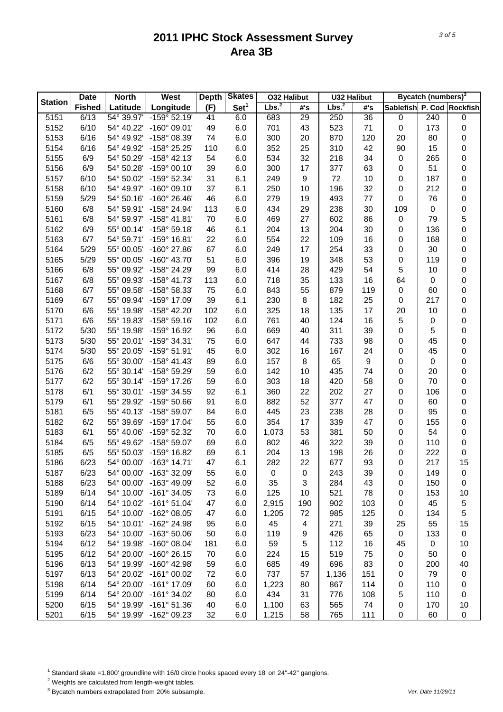|                | <b>Date</b>   | <b>North</b> | West                  | <b>Depth</b> | <b>Skates</b>    | <b>032 Halibut</b> |                  | <b>U32 Halibut</b> |                  |                           | Bycatch (numbers) <sup>3</sup> |           |
|----------------|---------------|--------------|-----------------------|--------------|------------------|--------------------|------------------|--------------------|------------------|---------------------------|--------------------------------|-----------|
| <b>Station</b> | <b>Fished</b> | Latitude     | Longitude             | (F)          | Set <sup>1</sup> | Lbs. <sup>2</sup>  | #'s              | Lbs. <sup>2</sup>  | #'s              | Sablefish P. Cod Rockfish |                                |           |
| 5151           | 6/13          | 54° 39.97'   | $-159^{\circ}$ 52.19' | 41           | 6.0              | 683                | 29               | 250                | 36               | 0                         | 240                            | 0         |
| 5152           | 6/10          | 54° 40.22'   | $-160^{\circ}$ 09.01' | 49           | 6.0              | 701                | 43               | 523                | 71               | $\mathsf 0$               | 173                            | 0         |
| 5153           | 6/16          | 54° 49.92'   | -158° 08.39'          | 74           | 6.0              | 300                | 20               | 870                | 120              | 20                        | 80                             | 0         |
| 5154           | 6/16          | 54° 49.92'   | -158° 25.25'          | 110          | 6.0              | 352                | 25               | 310                | 42               | 90                        | 15                             | $\pmb{0}$ |
| 5155           | 6/9           | 54° 50.29'   | $-158^{\circ}$ 42.13' | 54           | 6.0              | 534                | 32               | 218                | 34               | 0                         | 265                            | $\pmb{0}$ |
| 5156           | 6/9           | 54° 50.28'   | $-159^{\circ}$ 00.10  | 39           | 6.0              | 300                | 17               | 377                | 63               | $\mathsf 0$               | 51                             | 0         |
| 5157           | 6/10          | 54° 50.02'   | $-159^{\circ}$ 52.34' | 31           | 6.1              | 249                | $\boldsymbol{9}$ | 72                 | 10               | 0                         | 187                            | 0         |
| 5158           | 6/10          | 54° 49.97'   | $-160^{\circ}$ 09.10' | 37           | 6.1              | 250                | 10               | 196                | 32               | 0                         | 212                            | $\pmb{0}$ |
| 5159           | 5/29          | 54° 50.16'   | $-160^{\circ}$ 26.46' | 46           | 6.0              | 279                | 19               | 493                | 77               | $\mathbf 0$               | 76                             | $\pmb{0}$ |
| 5160           | 6/8           | 54° 59.91'   | -158° 24.94'          | 113          | 6.0              | 434                | 29               | 238                | 30               | 109                       | 0                              | 0         |
| 5161           | 6/8           | 54° 59.97'   | $-158^{\circ}$ 41.81' | 70           | 6.0              | 469                | 27               | 602                | 86               | $\mathsf 0$               | 79                             | 5         |
| 5162           | 6/9           | 55° 00.14'   | $-158^{\circ}59.18'$  | 46           | 6.1              | 204                | 13               | 204                | 30               | 0                         | 136                            | 0         |
| 5163           | 6/7           | 54° 59.71'   | $-159^{\circ}$ 16.81' | 22           | 6.0              | 554                | 22               | 109                | 16               | $\mathsf 0$               | 168                            | $\pmb{0}$ |
| 5164           | 5/29          | 55° 00.05'   | $-160^{\circ}$ 27.86' | 67           | 6.0              | 249                | 17               | 254                | 33               | $\mathsf 0$               | 30                             | $\pmb{0}$ |
| 5165           | 5/29          | 55° 00.05'   | $-160^{\circ}$ 43.70' | 51           | 6.0              | 396                | 19               | 348                | 53               | $\mathsf 0$               | 119                            | 0         |
| 5166           | 6/8           | 55° 09.92'   | -158° 24.29'          | 99           | 6.0              | 414                | 28               | 429                | 54               | 5                         | 10                             | 0         |
| 5167           | 6/8           | 55° 09.93'   | $-158^{\circ}$ 41.73' | 113          | 6.0              | 718                | 35               | 133                | 16               | 64                        | 0                              | 0         |
| 5168           | 6/7           | 55° 09.58'   | -158° 58.33'          | 75           | 6.0              | 843                | 55               | 879                | 119              | $\mathsf 0$               | 60                             | 0         |
| 5169           | 6/7           | 55° 09.94'   | -159° 17.09'          | 39           | 6.1              | 230                | 8                | 182                | 25               | 0                         | 217                            | 0         |
| 5170           | 6/6           | 55° 19.98'   | -158° 42.20'          | 102          | 6.0              | 325                | 18               | 135                | 17               | 20                        | 10                             | 0         |
| 5171           | 6/6           | 55° 19.83'   | $-158^{\circ} 59.16'$ | 102          | 6.0              | 761                | 40               | 124                | 16               | 5                         | 0                              | 0         |
| 5172           | 5/30          | 55° 19.98'   | -159° 16.92'          | 96           | 6.0              | 669                | 40               | 311                | 39               | $\mathsf 0$               | 5                              | 0         |
| 5173           | 5/30          | 55° 20.01'   | $-159°34.31'$         | 75           | 6.0              | 647                | 44               | 733                | 98               | 0                         | 45                             | 0         |
| 5174           | 5/30          | 55° 20.05'   | $-159^{\circ} 51.91'$ | 45           | 6.0              | 302                | 16               | 167                | 24               | 0                         | 45                             | $\pmb{0}$ |
| 5175           | 6/6           | 55° 30.00'   | $-158^{\circ}$ 41.43' | 89           | 6.0              | 157                | 8                | 65                 | $\boldsymbol{9}$ | 0                         | 0                              | 0         |
| 5176           | 6/2           | 55° 30.14'   | $-158^{\circ}59.29'$  | 59           | 6.0              | 142                | 10               | 435                | 74               | 0                         | 20                             | 0         |
| 5177           | 6/2           | 55° 30.14'   | $-159^{\circ}$ 17.26' | 59           | 6.0              | 303                | 18               | 420                | 58               | 0                         | 70                             | 0         |
| 5178           | 6/1           | 55° 30.01'   | -159° 34.55'          | 92           | 6.1              | 360                | 22               | 202                | 27               | 0                         | 106                            | 0         |
| 5179           | 6/1           | 55° 29.92'   | -159° 50.66'          | 91           | 6.0              | 882                | 52               | 377                | 47               | 0                         | 60                             | 0         |
| 5181           | 6/5           | 55° 40.13'   | -158° 59.07'          | 84           | 6.0              | 445                | 23               | 238                | 28               | 0                         | 95                             | 0         |
| 5182           | 6/2           | 55° 39.69'   | -159° 17.04'          | 55           | 6.0              | 354                | 17               | 339                | 47               | 0                         | 155                            | 0         |
| 5183           | 6/1           | 55° 40.06'   | -159° 52.32'          | 70           | 6.0              | 1,073              | 53               | 381                | 50               | 0                         | 54                             | 0         |
| 5184           | 6/5           | 55° 49.62'   | -158° 59.07'          | 69           | 6.0              | 802                | 46               | 322                | 39               | 0                         | 110                            | 0         |
| 5185           | 6/5           | 55° 50.03'   | -159° 16.82'          | 69           | 6.1              | 204                | 13               | 198                | 26               | 0                         | 222                            | 0         |
| 5186           | 6/23          | 54° 00.00'   | $-163^{\circ}$ 14.71' | 47           | 6.1              | 282                | 22               | 677                | 93               | 0                         | 217                            | 15        |
| 5187           | 6/23          | 54° 00.00'   | -163° 32.09'          | 55           | 6.0              | 0                  | 0                | 243                | 39               | 0                         | 149                            | 0         |
| 5188           | 6/23          | 54° 00.00'   | -163° 49.09'          | 52           | 6.0              | 35                 | 3                | 284                | 43               | 0                         | 150                            | 0         |
| 5189           | 6/14          | 54° 10.00'   | $-161^{\circ}$ 34.05' | 73           | 6.0              | 125                | 10               | 521                | 78               | 0                         | 153                            | 10        |
| 5190           | 6/14          | 54° 10.02'   | $-161^{\circ} 51.04'$ | 47           | 6.0              | 2,915              | 190              | 902                | 103              | 0                         | 45                             | 5         |
| 5191           | 6/15          | 54° 10.00'   | $-162^{\circ}$ 08.05' | 47           | 6.0              | 1,205              | 72               | 985                | 125              | 0                         | 134                            | 5         |
| 5192           | 6/15          | 54° 10.01'   | -162° 24.98'          | 95           | 6.0              | 45                 | 4                | 271                | 39               | 25                        | 55                             | 15        |
| 5193           | 6/23          | 54° 10.00'   | -163° 50.06'          | 50           | 6.0              | 119                | 9                | 426                | 65               | 0                         | 133                            | 0         |
| 5194           | 6/12          | 54° 19.98'   | $-160^{\circ}$ 08.04' | 181          | 6.0              | 59                 | 5                | 112                | 16               | 45                        | 0                              | 10        |
| 5195           | 6/12          | 54° 20.00'   | $-160^{\circ}$ 26.15' | 70           | 6.0              | 224                | 15               | 519                | 75               | 0                         | 50                             | 0         |
| 5196           | 6/13          | 54° 19.99'   | $-160^{\circ}$ 42.98' | 59           | 6.0              | 685                | 49               | 696                | 83               | 0                         | 200                            | 40        |
| 5197           | 6/13          | 54° 20.02'   | $-161^{\circ}$ 00.02' | 72           | 6.0              | 737                | 57               | 1,136              | 151              | 0                         | 79                             | 0         |
| 5198           | 6/14          | 54° 20.00'   | -161° 17.09'          | 60           | 6.0              | 1,223              | 80               | 867                | 114              | 0                         | 110                            | 0         |
| 5199           | 6/14          | 54° 20.00'   | $-161°34.02'$         | 80           | 6.0              | 434                | 31               | 776                | 108              | 5                         | 110                            | 0         |
| 5200           | 6/15          | 54° 19.99'   | $-161°51.36'$         | 40           | 6.0              | 1,100              | 63               | 565                | 74               | 0                         | 170                            | 10        |
| 5201           | 6/15          | 54° 19.99'   | -162° 09.23'          | 32           | 6.0              | 1,215              | 58               | 765                | 111              | 0                         | 60                             | 0         |

<sup>1</sup> Standard skate =1,800' groundline with 16/0 circle hooks spaced every 18' on 24"-42" gangions.

2 Weights are calculated from length-weight tables.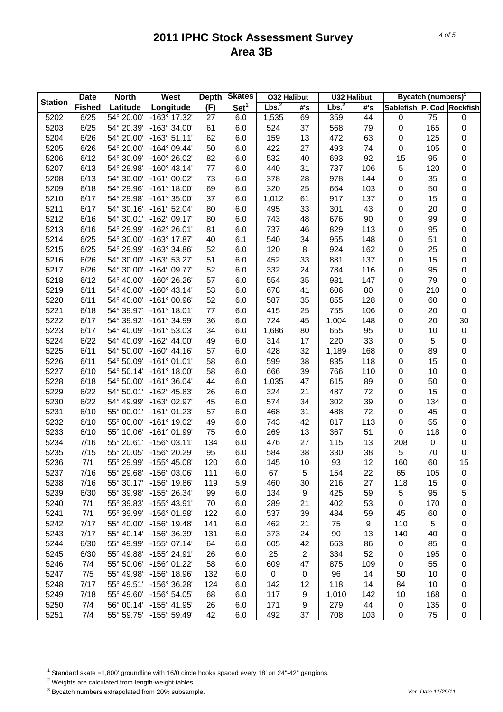|                | <b>Date</b>   | <b>North</b> | West                    | <b>Depth</b> | <b>Skates</b>    | <b>O32 Halibut</b> |                | <b>U32 Halibut</b> |     |                           | Bycatch (numbers) <sup>3</sup> |    |
|----------------|---------------|--------------|-------------------------|--------------|------------------|--------------------|----------------|--------------------|-----|---------------------------|--------------------------------|----|
| <b>Station</b> | <b>Fished</b> | Latitude     | Longitude               | (F)          | Set <sup>1</sup> | Lbs. <sup>2</sup>  | #'s            | Lbs. <sup>2</sup>  | #'s | Sablefish P. Cod Rockfish |                                |    |
| 5202           | 6/25          | 54° 20.00'   | -163° 17.32'            | 27           | 6.0              | 1,535              | 69             | 359                | 44  | $\pmb{0}$                 | 75                             | 0  |
| 5203           | 6/25          | 54° 20.39'   | $-163^{\circ}$ 34.00'   | 61           | 6.0              | 524                | 37             | 568                | 79  | $\pmb{0}$                 | 165                            | 0  |
| 5204           | 6/26          | 54° 20.00'   | $-163°51.11'$           | 62           | 6.0              | 159                | 13             | 472                | 63  | 0                         | 125                            | 0  |
| 5205           | 6/26          | 54° 20.00'   | $-164^{\circ}$ 09.44'   | 50           | 6.0              | 422                | 27             | 493                | 74  | $\pmb{0}$                 | 105                            | 0  |
| 5206           | 6/12          | 54° 30.09'   | $-160^{\circ}$ 26.02'   | 82           | 6.0              | 532                | 40             | 693                | 92  | 15                        | 95                             | 0  |
| 5207           | 6/13          | 54° 29.98'   | $-160^{\circ}$ 43.14'   | 77           | 6.0              | 440                | 31             | 737                | 106 | $\sqrt{5}$                | 120                            | 0  |
| 5208           | 6/13          | 54° 30.00'   | $-161^{\circ}$ 00.02'   | 73           | 6.0              | 378                | 28             | 978                | 144 | $\pmb{0}$                 | 35                             | 0  |
| 5209           | 6/18          | 54° 29.96'   | $-161^{\circ}$ 18.00'   | 69           | 6.0              | 320                | 25             | 664                | 103 | $\pmb{0}$                 | 50                             | 0  |
| 5210           | 6/17          | 54° 29.98'   | $-161^{\circ}$ 35.00'   | 37           | 6.0              | 1,012              | 61             | 917                | 137 | $\pmb{0}$                 | 15                             | 0  |
| 5211           | 6/17          | 54° 30.16'   | $-161^{\circ}$ 52.04'   | 80           | 6.0              | 495                | 33             | 301                | 43  | $\pmb{0}$                 | 20                             | 0  |
| 5212           | 6/16          | 54° 30.01'   | $-162^{\circ}$ 09.17'   | 80           | 6.0              | 743                | 48             | 676                | 90  | 0                         | 99                             | 0  |
| 5213           | 6/16          | 54° 29.99'   | -162° 26.01'            | 81           | 6.0              | 737                | 46             | 829                | 113 | $\pmb{0}$                 | 95                             | 0  |
| 5214           | 6/25          | 54° 30.00'   | $-163^{\circ}$ 17.87'   | 40           | 6.1              | 540                | 34             | 955                | 148 | $\pmb{0}$                 | 51                             | 0  |
| 5215           | 6/25          | 54° 29.99'   | $-163^{\circ}$ 34.86'   | 52           | 6.0              | 120                | 8              | 924                | 162 | $\pmb{0}$                 | 25                             | 0  |
| 5216           | 6/26          | 54° 30.00'   | $-163^{\circ}53.27'$    | 51           | 6.0              | 452                | 33             | 881                | 137 | $\pmb{0}$                 | 15                             | 0  |
| 5217           | 6/26          | 54° 30.00'   | $-164^{\circ}$ 09.77'   | 52           | 6.0              | 332                | 24             | 784                | 116 | $\pmb{0}$                 | 95                             | 0  |
| 5218           | 6/12          | 54° 40.00'   | $-160^{\circ}$ 26.26'   | 57           | 6.0              | 554                | 35             | 981                | 147 | $\pmb{0}$                 | 79                             | 0  |
| 5219           | 6/11          | 54° 40.00'   | $-160^{\circ}$ 43.14'   | 53           | 6.0              | 678                | 41             | 606                | 80  | 0                         | 210                            | 0  |
| 5220           | 6/11          | 54° 40.00'   | $-161^{\circ}$ 00.96'   | 52           | 6.0              | 587                | 35             | 855                | 128 | $\pmb{0}$                 | 60                             | 0  |
| 5221           | 6/18          | 54° 39.97'   | $-161^{\circ}$ 18.01'   | 77           | 6.0              | 415                | 25             | 755                | 106 | $\pmb{0}$                 | 20                             | 0  |
| 5222           | 6/17          | 54° 39.92'   | -161° 34.99'            | 36           | 6.0              | 724                | 45             | 1,004              | 148 | $\pmb{0}$                 | 20                             | 30 |
| 5223           | 6/17          | 54° 40.09'   | $-161^{\circ}$ 53.03'   | 34           | 6.0              | 1,686              | 80             | 655                | 95  | $\pmb{0}$                 | 10                             | 0  |
| 5224           | 6/22          | 54° 40.09'   | $-162^{\circ}$ 44.00'   | 49           | 6.0              | 314                | 17             | 220                | 33  | 0                         | 5                              | 0  |
| 5225           | 6/11          | 54° 50.00'   | $-160^{\circ}$ 44.16'   | 57           | 6.0              | 428                | 32             | 1,189              | 168 | $\pmb{0}$                 | 89                             | 0  |
| 5226           | 6/11          | 54° 50.09'   | $-161^{\circ}$ 01.01'   | 58           | 6.0              | 599                | 38             | 835                | 118 | 0                         | 15                             | 0  |
| 5227           | 6/10          | 54° 50.14'   | $-161^{\circ}$ 18.00'   | 58           | 6.0              | 666                | 39             | 766                | 110 | 0                         | 10                             | 0  |
| 5228           | 6/18          | 54° 50.00'   | $-161^{\circ}$ 36.04'   | 44           | 6.0              | 1,035              | 47             | 615                | 89  | 0                         | 50                             | 0  |
| 5229           | 6/22          | 54° 50.01'   | $-162^{\circ}$ 45.83'   | 26           | 6.0              | 324                | 21             | 487                | 72  | 0                         | 15                             | 0  |
| 5230           | 6/22          | 54° 49.99'   | -163° 02.97'            | 45           | 6.0              | 574                | 34             | 302                | 39  | 0                         | 134                            | 0  |
| 5231           | 6/10          | 55° 00.01'   | $-161^{\circ}$ 01.23'   | 57           | 6.0              | 468                | 31             | 488                | 72  | 0                         | 45                             | 0  |
| 5232           | 6/10          | 55° 00.00'   | $-161^{\circ}$ 19.02'   | 49           | 6.0              | 743                | 42             | 817                | 113 | 0                         | 55                             | 0  |
| 5233           | 6/10          | 55° 10.06'   | $-161^{\circ}$ 01.99'   | 75           | 6.0              | 269                | 13             | 367                | 51  | 0                         | 118                            | 0  |
| 5234           | 7/16          | 55° 20.61'   | $-156^{\circ}$ 03.11'   | 134          | 6.0              | 476                | 27             | 115                | 13  | 208                       | 0                              | 0  |
| 5235           | 7/15          | 55° 20.05'   | -156° 20.29'            | 95           | 6.0              | 584                | 38             | 330                | 38  | 5                         | 70                             | 0  |
| 5236           | 7/1           |              | 55° 29.99' -155° 45.08' | 120          | 6.0              | 145                | 10             | 93                 | 12  | 160                       | 60                             | 15 |
| 5237           | 7/16          | 55° 29.68'   | $-156^{\circ}$ 03.06'   | 111          | 6.0              | 67                 | 5              | 154                | 22  | 65                        | 105                            | 0  |
| 5238           | 7/16          | 55° 30.17'   | -156° 19.86'            | 119          | 5.9              | 460                | 30             | 216                | 27  | 118                       | 15                             | 0  |
| 5239           | 6/30          | 55° 39.98'   | -155° 26.34'            | 99           | 6.0              | 134                | 9              | 425                | 59  | 5                         | 95                             | 5  |
| 5240           | 7/1           | 55° 39.83'   | $-155^{\circ}$ 43.91'   | 70           | 6.0              | 289                | 21             | 402                | 53  | 0                         | 170                            | 0  |
| 5241           | 7/1           | 55° 39.99'   | $-156^{\circ}$ 01.98'   | 122          | 6.0              | 537                | 39             | 484                | 59  | 45                        | 60                             | 0  |
| 5242           | 7/17          | 55° 40.00'   | $-156^{\circ}$ 19.48'   | 141          | 6.0              | 462                | 21             | 75                 | 9   | 110                       | 5                              | 0  |
| 5243           | 7/17          | 55° 40.14'   | -156° 36.39'            | 131          | 6.0              | 373                | 24             | 90                 | 13  | 140                       | 40                             | 0  |
| 5244           | 6/30          | 55° 49.99'   | $-155^{\circ}$ 07.14'   | 64           | 6.0              | 605                | 42             | 663                | 86  | 0                         | 85                             | 0  |
| 5245           | 6/30          | 55° 49.88'   | $-155^{\circ}$ 24.91'   | 26           | 6.0              | 25                 | $\overline{2}$ | 334                | 52  | 0                         | 195                            | 0  |
| 5246           | 7/4           | 55° 50.06'   | -156° 01.22'            | 58           | 6.0              | 609                | 47             | 875                | 109 | 0                         | 55                             | 0  |
| 5247           | 7/5           | 55° 49.98'   | $-156^{\circ}$ 18.96'   | 132          | 6.0              | $\mathbf 0$        | 0              | 96                 | 14  | 50                        | 10                             | 0  |
| 5248           | 7/17          | 55° 49.51'   | $-156^{\circ}$ 36.28'   | 124          | 6.0              | 142                | 12             | 118                | 14  | 84                        | 10                             | 0  |
| 5249           | 7/18          | 55° 49.60'   | $-156^{\circ} 54.05'$   | 68           | 6.0              | 117                | 9              | 1,010              | 142 | 10                        | 168                            | 0  |
| 5250           | 7/4           | 56° 00.14'   | $-155^{\circ}$ 41.95'   | 26           | 6.0              | 171                | 9              | 279                | 44  | 0                         | 135                            | 0  |
| 5251           | 7/4           | 55° 59.75'   | -155° 59.49'            | 42           | 6.0              | 492                | 37             | 708                | 103 | $\pmb{0}$                 | 75                             | 0  |
|                |               |              |                         |              |                  |                    |                |                    |     |                           |                                |    |

<sup>1</sup> Standard skate =1,800' groundline with 16/0 circle hooks spaced every 18' on 24"-42" gangions.

2 Weights are calculated from length-weight tables.